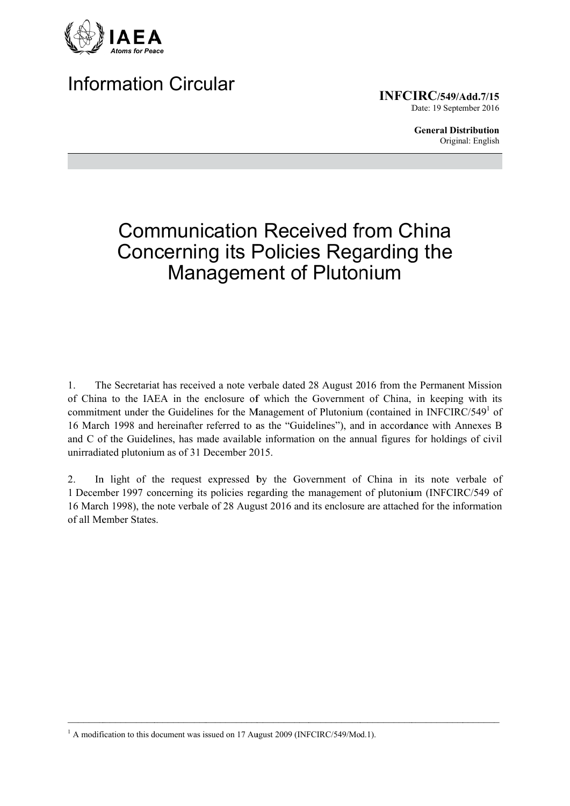

## **Information Circular**

**INFCIRC/549/Add.7/15** Date: 19 September 2016

> **General Distribution** Original: English

# **Communication Received from China Concerning its Policies Regarding the Management of Plutonium**

The Secretariat has received a note verbale dated 28 August 2016 from the Permanent Mission  $1<sub>1</sub>$ of China to the IAEA in the enclosure of which the Government of China, in keeping with its commitment under the Guidelines for the Management of Plutonium (contained in INFCIRC/549<sup>1</sup> of 16 March 1998 and hereinafter referred to as the "Guidelines"), and in accordance with Annexes B and C of the Guidelines, has made available information on the annual figures for holdings of civil unirradiated plutonium as of 31 December 2015.

In light of the request expressed by the Government of China in its note verbale of  $\overline{2}$ . 1 December 1997 concerning its policies regarding the management of plutonium (INFCIRC/549 of 16 March 1998), the note verbale of 28 August 2016 and its enclosure are attached for the information of all Member States.

<sup>&</sup>lt;sup>1</sup> A modification to this document was issued on 17 August 2009 (INFCIRC/549/Mod.1).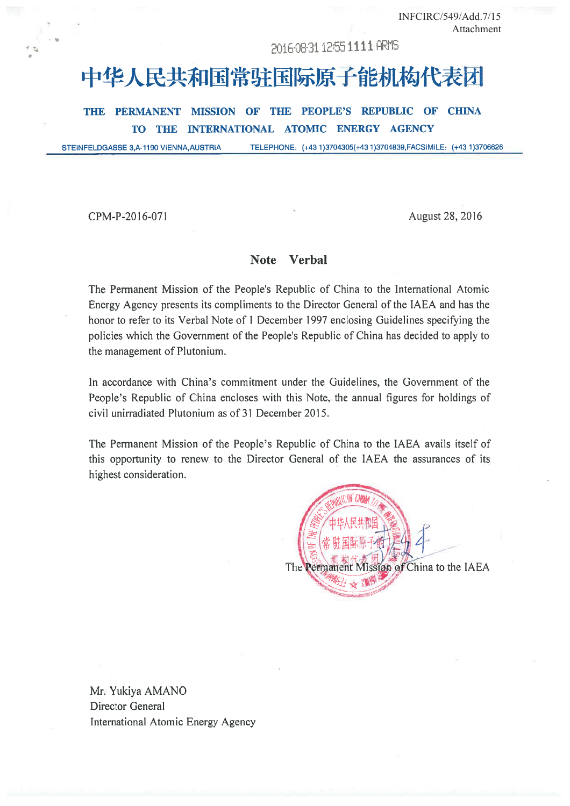INFCIRC/549/Add.7/15 Attachment

### 2016-08-31 12:55 1111 ARMS

# 中华人民共和国常驻国际原子能机构代表团

THE PERMANENT MISSION OF THE PEOPLE'S REPUBLIC OF CHINA THE INTERNATIONAL ATOMIC ENERGY AGENCY **TO** 

TELEPHONE: (+43 1)3704305(+43 1)3704839, FACSIMILE: (+43 1)3706626 STEINFELDGASSE 3,A-1190 VIENNA, AUSTRIA

CPM-P-2016-071

August 28, 2016

#### Note Verbal

The Permanent Mission of the People's Republic of China to the International Atomic Energy Agency presents its compliments to the Director General of the IAEA and has the honor to refer to its Verbal Note of 1 December 1997 enclosing Guidelines specifying the policies which the Government of the People's Republic of China has decided to apply to the management of Plutonium.

In accordance with China's commitment under the Guidelines, the Government of the People's Republic of China encloses with this Note, the annual figures for holdings of civil unirradiated Plutonium as of 31 December 2015.

The Permanent Mission of the People's Republic of China to the IAEA avails itself of this opportunity to renew to the Director General of the IAEA the assurances of its highest consideration.



Mr. Yukiya AMANO **Director General** International Atomic Energy Agency